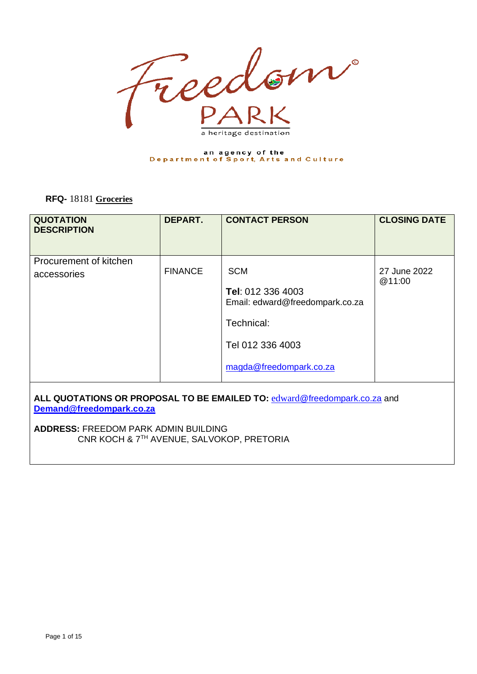

# an agency of the<br>Department of Sport, Arts and Culture

**RFQ-** 18181 **Groceries**

| <b>QUOTATION</b><br><b>DESCRIPTION</b>                                                                                                                                                            | DEPART.        | <b>CONTACT PERSON</b>                                                                                                           | <b>CLOSING DATE</b>    |
|---------------------------------------------------------------------------------------------------------------------------------------------------------------------------------------------------|----------------|---------------------------------------------------------------------------------------------------------------------------------|------------------------|
| Procurement of kitchen<br>accessories                                                                                                                                                             | <b>FINANCE</b> | <b>SCM</b><br>Tel: 012 336 4003<br>Email: edward@freedompark.co.za<br>Technical:<br>Tel 012 336 4003<br>magda@freedompark.co.za | 27 June 2022<br>@11:00 |
| ALL QUOTATIONS OR PROPOSAL TO BE EMAILED TO: edward@freedompark.co.za and<br>Demand@freedompark.co.za<br><b>ADDRESS: FREEDOM PARK ADMIN BUILDING</b><br>CNR KOCH & 7TH AVENUE, SALVOKOP, PRETORIA |                |                                                                                                                                 |                        |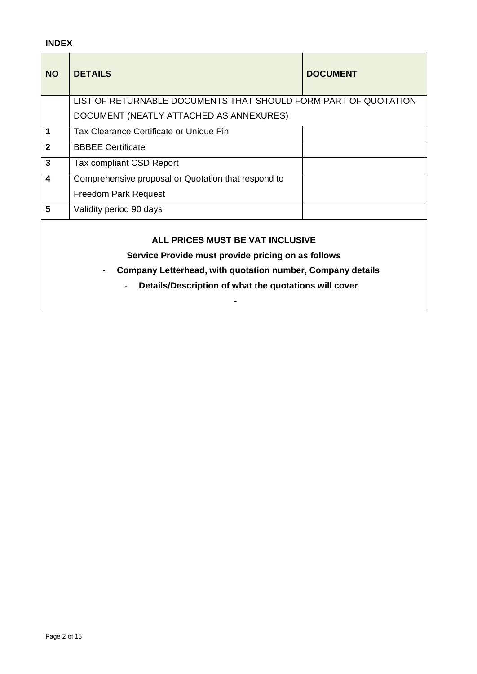# **INDEX**

| <b>NO</b>                                                                                                                                                                                                     | <b>DETAILS</b>                                                  | <b>DOCUMENT</b> |  |  |
|---------------------------------------------------------------------------------------------------------------------------------------------------------------------------------------------------------------|-----------------------------------------------------------------|-----------------|--|--|
|                                                                                                                                                                                                               | LIST OF RETURNABLE DOCUMENTS THAT SHOULD FORM PART OF QUOTATION |                 |  |  |
|                                                                                                                                                                                                               | DOCUMENT (NEATLY ATTACHED AS ANNEXURES)                         |                 |  |  |
| 1                                                                                                                                                                                                             | Tax Clearance Certificate or Unique Pin                         |                 |  |  |
| $\overline{2}$                                                                                                                                                                                                | <b>BBBEE Certificate</b>                                        |                 |  |  |
| $\overline{3}$                                                                                                                                                                                                | Tax compliant CSD Report                                        |                 |  |  |
| 4                                                                                                                                                                                                             | Comprehensive proposal or Quotation that respond to             |                 |  |  |
|                                                                                                                                                                                                               | <b>Freedom Park Request</b>                                     |                 |  |  |
| 5                                                                                                                                                                                                             | Validity period 90 days                                         |                 |  |  |
| ALL PRICES MUST BE VAT INCLUSIVE<br>Service Provide must provide pricing on as follows<br>Company Letterhead, with quotation number, Company details<br>Details/Description of what the quotations will cover |                                                                 |                 |  |  |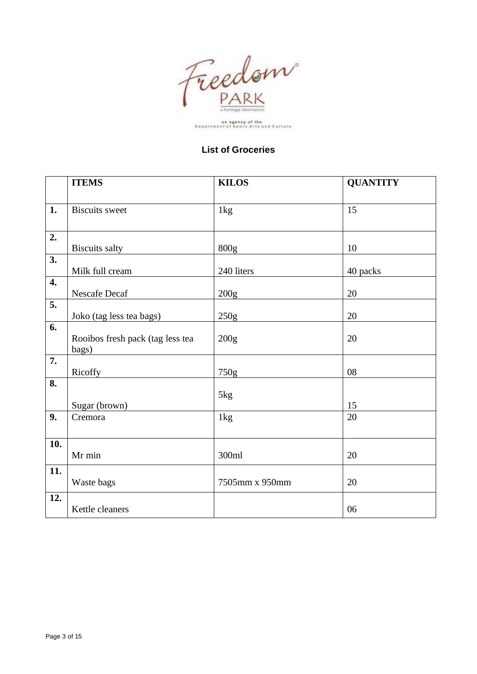

# **List of Groceries**

|                   | <b>ITEMS</b>                              | <b>KILOS</b>    | <b>QUANTITY</b> |
|-------------------|-------------------------------------------|-----------------|-----------------|
|                   |                                           |                 |                 |
| 1.                | <b>Biscuits</b> sweet                     | 1kg             | 15              |
| 2.                |                                           |                 |                 |
|                   | <b>Biscuits salty</b>                     | 800g            | 10              |
| 3.                |                                           |                 |                 |
|                   | Milk full cream                           | 240 liters      | 40 packs        |
| 4.                | Nescafe Decaf                             | 200g            | 20              |
| 5.                |                                           |                 |                 |
| 6.                | Joko (tag less tea bags)                  | 250g            | 20              |
|                   | Rooibos fresh pack (tag less tea<br>bags) | 200g            | 20              |
| 7.                |                                           |                 |                 |
|                   | Ricoffy                                   | 750g            | ${\bf 08}$      |
| 8.                |                                           | 5 <sub>kg</sub> |                 |
|                   | Sugar (brown)                             |                 | 15              |
| 9.                | Cremora                                   | 1kg             | 20              |
| $\overline{10}$ . |                                           |                 |                 |
|                   | Mr min                                    | 300ml           | 20              |
| 11.               | Waste bags                                | 7505mm x 950mm  | 20              |
| 12.               |                                           |                 |                 |
|                   | Kettle cleaners                           |                 | 06              |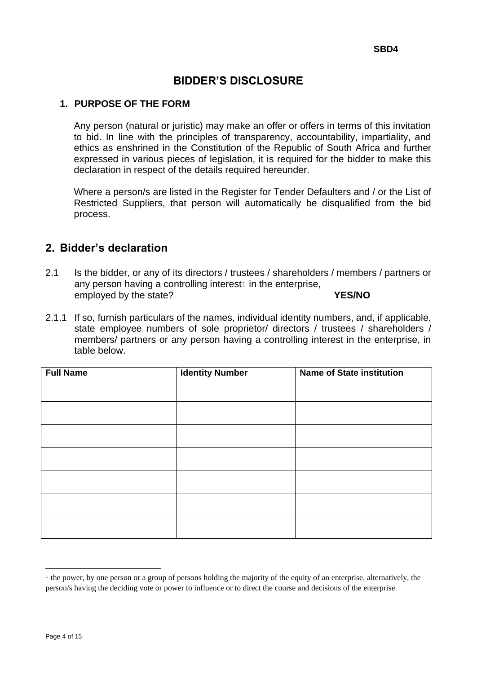# **BIDDER'S DISCLOSURE**

# **1. PURPOSE OF THE FORM**

Any person (natural or juristic) may make an offer or offers in terms of this invitation to bid. In line with the principles of transparency, accountability, impartiality, and ethics as enshrined in the Constitution of the Republic of South Africa and further expressed in various pieces of legislation, it is required for the bidder to make this declaration in respect of the details required hereunder.

Where a person/s are listed in the Register for Tender Defaulters and / or the List of Restricted Suppliers, that person will automatically be disqualified from the bid process.

# **2. Bidder's declaration**

- 2.1 Is the bidder, or any of its directors / trustees / shareholders / members / partners or any person having a controlling interest $1$  in the enterprise, employed by the state? **YES/NO**
- 2.1.1 If so, furnish particulars of the names, individual identity numbers, and, if applicable, state employee numbers of sole proprietor/ directors / trustees / shareholders / members/ partners or any person having a controlling interest in the enterprise, in table below.

| <b>Full Name</b> | <b>Identity Number</b> | <b>Name of State institution</b> |
|------------------|------------------------|----------------------------------|
|                  |                        |                                  |
|                  |                        |                                  |
|                  |                        |                                  |
|                  |                        |                                  |
|                  |                        |                                  |
|                  |                        |                                  |
|                  |                        |                                  |
|                  |                        |                                  |

 $\frac{1}{1}$  the power, by one person or a group of persons holding the majority of the equity of an enterprise, alternatively, the person/s having the deciding vote or power to influence or to direct the course and decisions of the enterprise.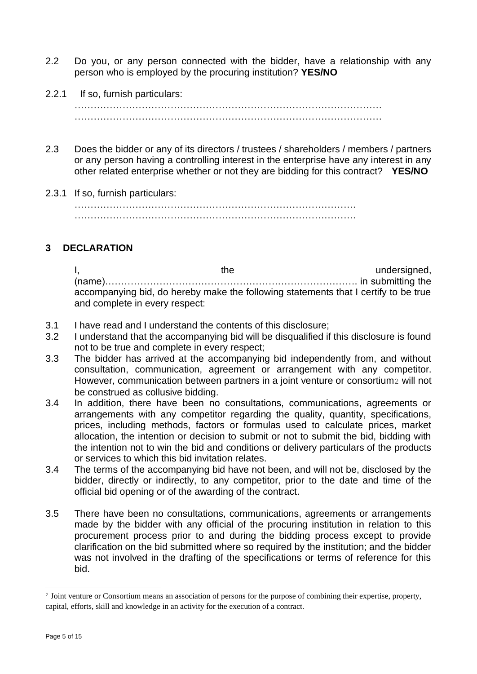- 2.2 Do you, or any person connected with the bidder, have a relationship with any person who is employed by the procuring institution? **YES/NO**
- 2.2.1 If so, furnish particulars: ……………………………………………………………………………………  $\mathcal{L}^{(n)}$
- 2.3 Does the bidder or any of its directors / trustees / shareholders / members / partners or any person having a controlling interest in the enterprise have any interest in any other related enterprise whether or not they are bidding for this contract? **YES/NO**
- 2.3.1 If so, furnish particulars: ……………………………………………………………………………. …………………………………………………………………………….

# **3 DECLARATION**

I, the undersigned, the undersigned, (name)……………………………………………………………………. in submitting the accompanying bid, do hereby make the following statements that I certify to be true and complete in every respect:

- 3.1 I have read and I understand the contents of this disclosure;
- 3.2 I understand that the accompanying bid will be disqualified if this disclosure is found not to be true and complete in every respect;
- 3.3 The bidder has arrived at the accompanying bid independently from, and without consultation, communication, agreement or arrangement with any competitor. However, communication between partners in a joint venture or consortium2 will not be construed as collusive bidding.
- 3.4 In addition, there have been no consultations, communications, agreements or arrangements with any competitor regarding the quality, quantity, specifications, prices, including methods, factors or formulas used to calculate prices, market allocation, the intention or decision to submit or not to submit the bid, bidding with the intention not to win the bid and conditions or delivery particulars of the products or services to which this bid invitation relates.
- 3.4 The terms of the accompanying bid have not been, and will not be, disclosed by the bidder, directly or indirectly, to any competitor, prior to the date and time of the official bid opening or of the awarding of the contract.
- 3.5 There have been no consultations, communications, agreements or arrangements made by the bidder with any official of the procuring institution in relation to this procurement process prior to and during the bidding process except to provide clarification on the bid submitted where so required by the institution; and the bidder was not involved in the drafting of the specifications or terms of reference for this bid.

<sup>2</sup> Joint venture or Consortium means an association of persons for the purpose of combining their expertise, property, capital, efforts, skill and knowledge in an activity for the execution of a contract.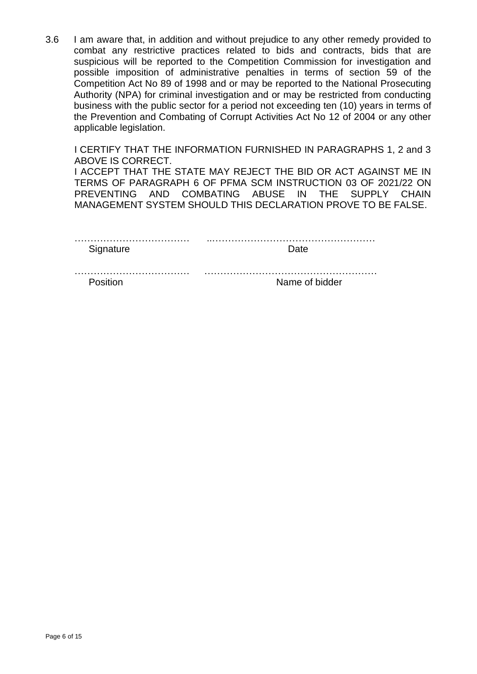3.6 I am aware that, in addition and without prejudice to any other remedy provided to combat any restrictive practices related to bids and contracts, bids that are suspicious will be reported to the Competition Commission for investigation and possible imposition of administrative penalties in terms of section 59 of the Competition Act No 89 of 1998 and or may be reported to the National Prosecuting Authority (NPA) for criminal investigation and or may be restricted from conducting business with the public sector for a period not exceeding ten (10) years in terms of the Prevention and Combating of Corrupt Activities Act No 12 of 2004 or any other applicable legislation.

I CERTIFY THAT THE INFORMATION FURNISHED IN PARAGRAPHS 1, 2 and 3 ABOVE IS CORRECT.

I ACCEPT THAT THE STATE MAY REJECT THE BID OR ACT AGAINST ME IN TERMS OF PARAGRAPH 6 OF PFMA SCM INSTRUCTION 03 OF 2021/22 ON PREVENTING AND COMBATING ABUSE IN THE SUPPLY CHAIN MANAGEMENT SYSTEM SHOULD THIS DECLARATION PROVE TO BE FALSE.

| Signature | Date           |
|-----------|----------------|
| Position  | Name of bidder |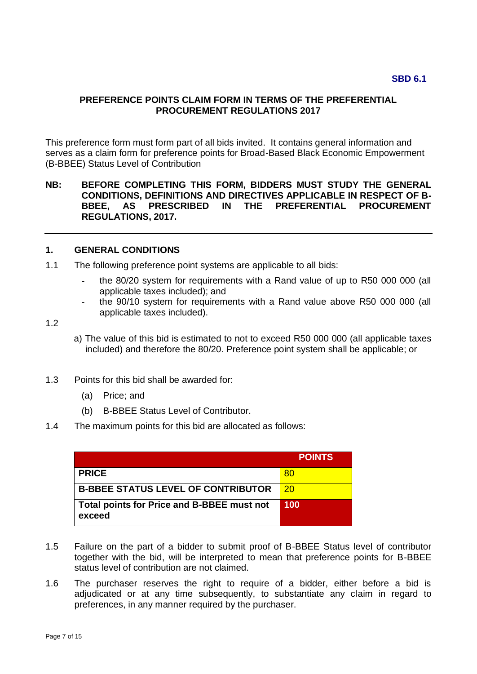#### **PREFERENCE POINTS CLAIM FORM IN TERMS OF THE PREFERENTIAL PROCUREMENT REGULATIONS 2017**

This preference form must form part of all bids invited. It contains general information and serves as a claim form for preference points for Broad-Based Black Economic Empowerment (B-BBEE) Status Level of Contribution

#### **NB: BEFORE COMPLETING THIS FORM, BIDDERS MUST STUDY THE GENERAL CONDITIONS, DEFINITIONS AND DIRECTIVES APPLICABLE IN RESPECT OF B-BBEE, AS PRESCRIBED IN THE PREFERENTIAL PROCUREMENT REGULATIONS, 2017.**

#### **1. GENERAL CONDITIONS**

- 1.1 The following preference point systems are applicable to all bids:
	- the 80/20 system for requirements with a Rand value of up to R50 000 000 (all applicable taxes included); and
	- the 90/10 system for requirements with a Rand value above R50 000 000 (all applicable taxes included).
- 1.2
- a) The value of this bid is estimated to not to exceed R50 000 000 (all applicable taxes included) and therefore the 80/20. Preference point system shall be applicable; or
- 1.3 Points for this bid shall be awarded for:
	- (a) Price; and
	- (b) B-BBEE Status Level of Contributor.
- 1.4 The maximum points for this bid are allocated as follows:

|                                                      | <b>POINTS</b> |
|------------------------------------------------------|---------------|
| <b>PRICE</b>                                         | -80           |
| <b>B-BBEE STATUS LEVEL OF CONTRIBUTOR</b>            | 20            |
| Total points for Price and B-BBEE must not<br>exceed | 100           |

- 1.5 Failure on the part of a bidder to submit proof of B-BBEE Status level of contributor together with the bid, will be interpreted to mean that preference points for B-BBEE status level of contribution are not claimed.
- 1.6 The purchaser reserves the right to require of a bidder, either before a bid is adjudicated or at any time subsequently, to substantiate any claim in regard to preferences, in any manner required by the purchaser.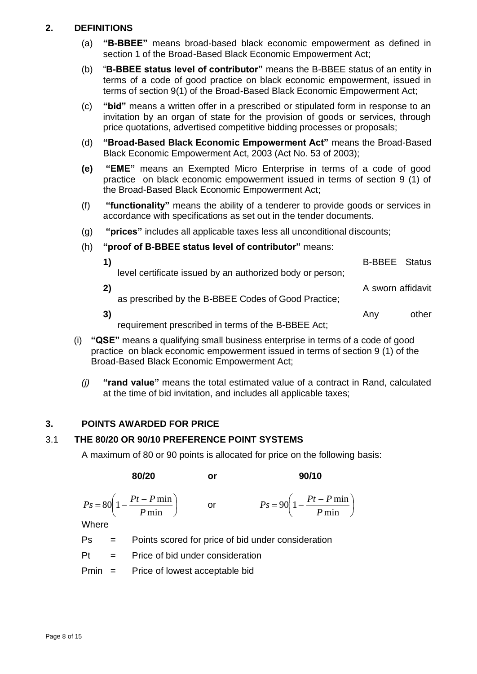# **2. DEFINITIONS**

- (a) **"B-BBEE"** means broad-based black economic empowerment as defined in section 1 of the Broad-Based Black Economic Empowerment Act;
- (b) "**B-BBEE status level of contributor"** means the B-BBEE status of an entity in terms of a code of good practice on black economic empowerment, issued in terms of section 9(1) of the Broad-Based Black Economic Empowerment Act;
- (c) **"bid"** means a written offer in a prescribed or stipulated form in response to an invitation by an organ of state for the provision of goods or services, through price quotations, advertised competitive bidding processes or proposals;
- (d) **"Broad-Based Black Economic Empowerment Act"** means the Broad-Based Black Economic Empowerment Act, 2003 (Act No. 53 of 2003);
- **(e) "EME"** means an Exempted Micro Enterprise in terms of a code of good practice on black economic empowerment issued in terms of section 9 (1) of the Broad-Based Black Economic Empowerment Act;
- (f) **"functionality"** means the ability of a tenderer to provide goods or services in accordance with specifications as set out in the tender documents.
- (g) **"prices"** includes all applicable taxes less all unconditional discounts;
- (h) **"proof of B-BBEE status level of contributor"** means:

| $\vert$ 1) | level certificate issued by an authorized body or person; | B-BBFF Status     |       |
|------------|-----------------------------------------------------------|-------------------|-------|
| 2)         | as prescribed by the B-BBEE Codes of Good Practice;       | A sworn affidavit |       |
| 3)         | requirement prescribed in terms of the B-BBEE Act;        | Anv               | other |

- (i) **"QSE"** means a qualifying small business enterprise in terms of a code of good practice on black economic empowerment issued in terms of section 9 (1) of the Broad-Based Black Economic Empowerment Act;
	- *(j)* **"rand value"** means the total estimated value of a contract in Rand, calculated at the time of bid invitation, and includes all applicable taxes;

  $\int$  $\sqrt{2}$ 

# **3. POINTS AWARDED FOR PRICE**

# 3.1 **THE 80/20 OR 90/10 PREFERENCE POINT SYSTEMS**

A maximum of 80 or 90 points is allocated for price on the following basis:

**80/20 or 90/10**

$$
Ps = 80\left(1 - \frac{Pt - P \min}{P \min}\right) \qquad \text{or} \qquad \qquad Ps = 90\left(1 - \frac{Pt - P \min}{P \min}\right)
$$

**Where** 

Ps = Points scored for price of bid under consideration

 $Pt =$  Price of bid under consideration

Pmin = Price of lowest acceptable bid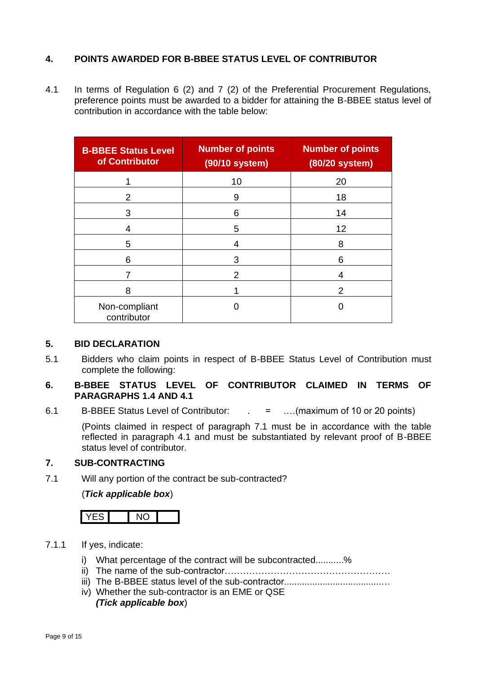## **4. POINTS AWARDED FOR B-BBEE STATUS LEVEL OF CONTRIBUTOR**

4.1 In terms of Regulation 6 (2) and 7 (2) of the Preferential Procurement Regulations, preference points must be awarded to a bidder for attaining the B-BBEE status level of contribution in accordance with the table below:

| <b>B-BBEE Status Level</b><br>of Contributor | <b>Number of points</b><br>(90/10 system) | <b>Number of points</b><br>(80/20 system) |
|----------------------------------------------|-------------------------------------------|-------------------------------------------|
|                                              | 10                                        | 20                                        |
| 2                                            | 9                                         | 18                                        |
| 3                                            | 6                                         | 14                                        |
| 4                                            | 5                                         | 12                                        |
| 5                                            | 4                                         | 8                                         |
| 6                                            | 3                                         | 6                                         |
|                                              | 2                                         | 4                                         |
| 8                                            |                                           | 2                                         |
| Non-compliant<br>contributor                 |                                           |                                           |

#### **5. BID DECLARATION**

5.1 Bidders who claim points in respect of B-BBEE Status Level of Contribution must complete the following:

# **6. B-BBEE STATUS LEVEL OF CONTRIBUTOR CLAIMED IN TERMS OF PARAGRAPHS 1.4 AND 4.1**

6.1 B-BBEE Status Level of Contributor: . = .…(maximum of 10 or 20 points)

(Points claimed in respect of paragraph 7.1 must be in accordance with the table reflected in paragraph 4.1 and must be substantiated by relevant proof of B-BBEE status level of contributor.

# **7. SUB-CONTRACTING**

7.1 Will any portion of the contract be sub-contracted?

(*Tick applicable box*)



- 7.1.1 If yes, indicate:
	- i) What percentage of the contract will be subcontracted...........%
	- ii) The name of the sub-contractor………………………………………………
	- iii) The B-BBEE status level of the sub-contractor......................................…
	- iv) Whether the sub-contractor is an EME or QSE *(Tick applicable box*)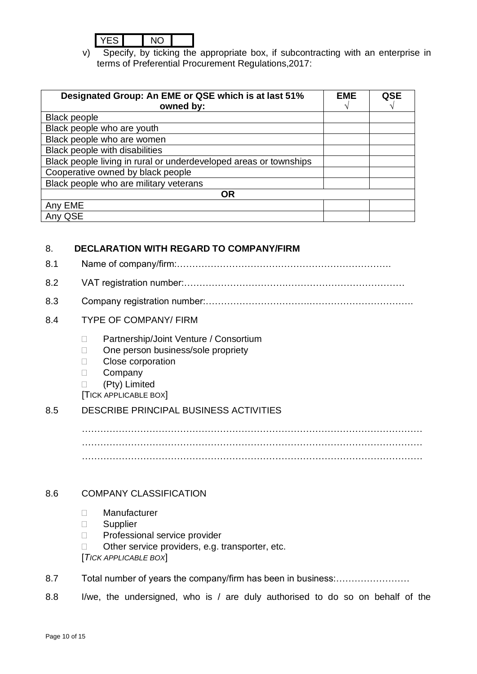

v) Specify, by ticking the appropriate box, if subcontracting with an enterprise in terms of Preferential Procurement Regulations,2017:

| Designated Group: An EME or QSE which is at last 51%              |  | <b>QSE</b> |
|-------------------------------------------------------------------|--|------------|
| owned by:                                                         |  |            |
| <b>Black people</b>                                               |  |            |
| Black people who are youth                                        |  |            |
| Black people who are women                                        |  |            |
| Black people with disabilities                                    |  |            |
| Black people living in rural or underdeveloped areas or townships |  |            |
| Cooperative owned by black people                                 |  |            |
| Black people who are military veterans                            |  |            |
| <b>OR</b>                                                         |  |            |
| Any EME                                                           |  |            |
| Any QSE                                                           |  |            |

# 8. **DECLARATION WITH REGARD TO COMPANY/FIRM**

- 8.1 Name of company/firm:…………………………………………………………….
- 8.2 VAT registration number:………………………………………………………………
- 8.3 Company registration number:…………………………….…………………………….

#### 8.4 TYPE OF COMPANY/ FIRM

- D Partnership/Joint Venture / Consortium
- □ One person business/sole propriety
- Close corporation
- D Company
- (Pty) Limited
- [TICK APPLICABLE BOX]

#### 8.5 DESCRIBE PRINCIPAL BUSINESS ACTIVITIES

………………………………………………………………………………………………… ………………………………………………………………………………………………… …………………………………………………………………………………………………

# 8.6 COMPANY CLASSIFICATION

- Manufacturer
- **Supplier**
- □ Professional service provider
- $\Box$  Other service providers, e.g. transporter, etc.

[*TICK APPLICABLE BOX*]

- 8.7 Total number of years the company/firm has been in business:……………………
- 8.8 I/we, the undersigned, who is / are duly authorised to do so on behalf of the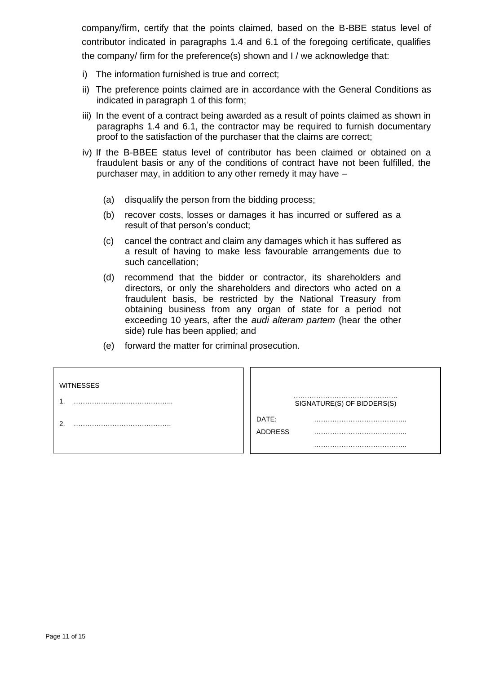company/firm, certify that the points claimed, based on the B-BBE status level of contributor indicated in paragraphs 1.4 and 6.1 of the foregoing certificate, qualifies the company/ firm for the preference(s) shown and I / we acknowledge that:

- i) The information furnished is true and correct;
- ii) The preference points claimed are in accordance with the General Conditions as indicated in paragraph 1 of this form;
- iii) In the event of a contract being awarded as a result of points claimed as shown in paragraphs 1.4 and 6.1, the contractor may be required to furnish documentary proof to the satisfaction of the purchaser that the claims are correct;
- iv) If the B-BBEE status level of contributor has been claimed or obtained on a fraudulent basis or any of the conditions of contract have not been fulfilled, the purchaser may, in addition to any other remedy it may have –
	- (a) disqualify the person from the bidding process;
	- (b) recover costs, losses or damages it has incurred or suffered as a result of that person's conduct;
	- (c) cancel the contract and claim any damages which it has suffered as a result of having to make less favourable arrangements due to such cancellation;
	- (d) recommend that the bidder or contractor, its shareholders and directors, or only the shareholders and directors who acted on a fraudulent basis, be restricted by the National Treasury from obtaining business from any organ of state for a period not exceeding 10 years, after the *audi alteram partem* (hear the other side) rule has been applied; and
	- (e) forward the matter for criminal prosecution.

| <b>WITNESSES</b> |                            |
|------------------|----------------------------|
|                  | SIGNATURE(S) OF BIDDERS(S) |
|                  | DATE:                      |
|                  | <b>ADDRESS</b>             |
|                  |                            |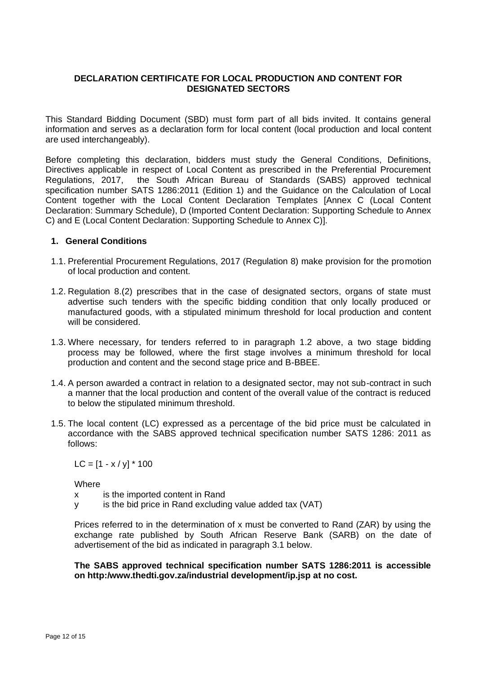#### **DECLARATION CERTIFICATE FOR LOCAL PRODUCTION AND CONTENT FOR DESIGNATED SECTORS**

This Standard Bidding Document (SBD) must form part of all bids invited. It contains general information and serves as a declaration form for local content (local production and local content are used interchangeably).

Before completing this declaration, bidders must study the General Conditions, Definitions, Directives applicable in respect of Local Content as prescribed in the Preferential Procurement Regulations, 2017, the South African Bureau of Standards (SABS) approved technical specification number SATS 1286:2011 (Edition 1) and the Guidance on the Calculation of Local Content together with the Local Content Declaration Templates [Annex C (Local Content Declaration: Summary Schedule), D (Imported Content Declaration: Supporting Schedule to Annex C) and E (Local Content Declaration: Supporting Schedule to Annex C)].

#### **1. General Conditions**

- 1.1. Preferential Procurement Regulations, 2017 (Regulation 8) make provision for the promotion of local production and content.
- 1.2. Regulation 8.(2) prescribes that in the case of designated sectors, organs of state must advertise such tenders with the specific bidding condition that only locally produced or manufactured goods, with a stipulated minimum threshold for local production and content will be considered.
- 1.3. Where necessary, for tenders referred to in paragraph 1.2 above, a two stage bidding process may be followed, where the first stage involves a minimum threshold for local production and content and the second stage price and B-BBEE.
- 1.4. A person awarded a contract in relation to a designated sector, may not sub-contract in such a manner that the local production and content of the overall value of the contract is reduced to below the stipulated minimum threshold.
- 1.5. The local content (LC) expressed as a percentage of the bid price must be calculated in accordance with the SABS approved technical specification number SATS 1286: 2011 as follows:

 $LC = [1 - x / y] * 100$ 

**Where** 

x is the imported content in Rand

y is the bid price in Rand excluding value added tax (VAT)

Prices referred to in the determination of x must be converted to Rand (ZAR) by using the exchange rate published by South African Reserve Bank (SARB) on the date of advertisement of the bid as indicated in paragraph 3.1 below.

**The SABS approved technical specification number SATS 1286:2011 is accessible on http:/www.thedti.gov.za/industrial development/ip.jsp at no cost.**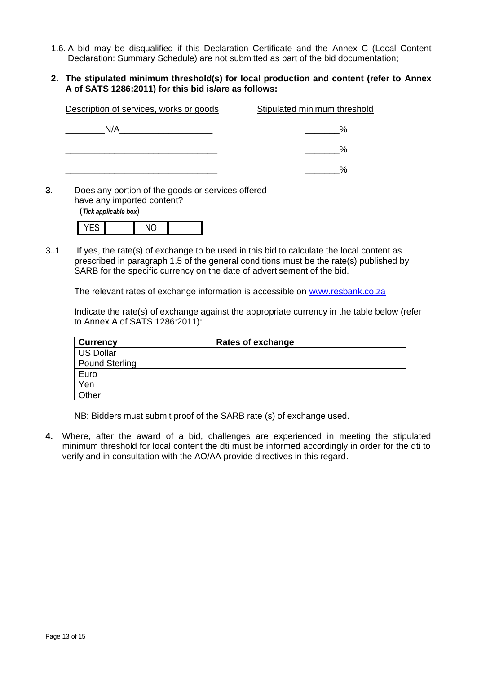- 1.6. A bid may be disqualified if this Declaration Certificate and the Annex C (Local Content Declaration: Summary Schedule) are not submitted as part of the bid documentation;
- **2. The stipulated minimum threshold(s) for local production and content (refer to Annex A of SATS 1286:2011) for this bid is/are as follows:**

| Description of services, works or goods | Stipulated minimum threshold |
|-----------------------------------------|------------------------------|
| N/A                                     | %                            |
|                                         | %                            |
|                                         | %                            |

**3**. Does any portion of the goods or services offered have any imported content? (*Tick applicable box*)

3..1 If yes, the rate(s) of exchange to be used in this bid to calculate the local content as prescribed in paragraph 1.5 of the general conditions must be the rate(s) published by SARB for the specific currency on the date of advertisement of the bid.

The relevant rates of exchange information is accessible on [www.resbank.co.za](http://www.resbank.co.za/)

Indicate the rate(s) of exchange against the appropriate currency in the table below (refer to Annex A of SATS 1286:2011):

| <b>Currency</b>       | Rates of exchange |
|-----------------------|-------------------|
| US Dollar             |                   |
| <b>Pound Sterling</b> |                   |
| Euro                  |                   |
| Yen                   |                   |
| Other                 |                   |

NB: Bidders must submit proof of the SARB rate (s) of exchange used.

**4.** Where, after the award of a bid, challenges are experienced in meeting the stipulated minimum threshold for local content the dti must be informed accordingly in order for the dti to verify and in consultation with the AO/AA provide directives in this regard.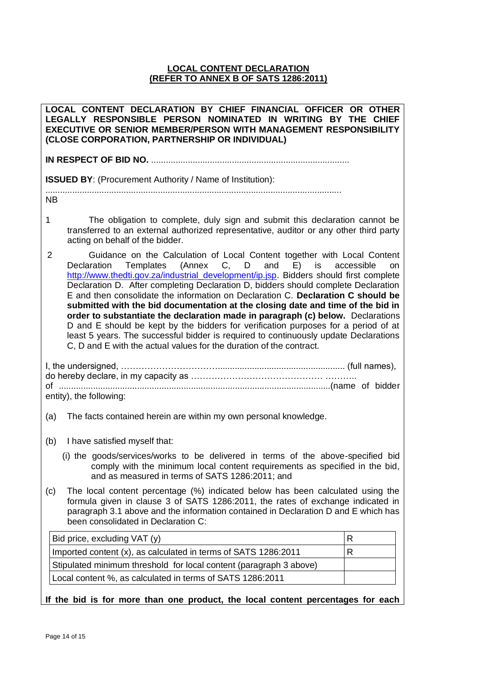#### **LOCAL CONTENT DECLARATION (REFER TO ANNEX B OF SATS 1286:2011)**

**LOCAL CONTENT DECLARATION BY CHIEF FINANCIAL OFFICER OR OTHER LEGALLY RESPONSIBLE PERSON NOMINATED IN WRITING BY THE CHIEF EXECUTIVE OR SENIOR MEMBER/PERSON WITH MANAGEMENT RESPONSIBILITY (CLOSE CORPORATION, PARTNERSHIP OR INDIVIDUAL) IN RESPECT OF BID NO.** ................................................................................. **ISSUED BY: (Procurement Authority / Name of Institution):** ......................................................................................................................... NB 1 The obligation to complete, duly sign and submit this declaration cannot be transferred to an external authorized representative, auditor or any other third party acting on behalf of the bidder. 2 Guidance on the Calculation of Local Content together with Local Content Declaration Templates (Annex C, D and E) is accessible on [http://www.thedti.gov.za/industrial\\_development/ip.jsp.](http://www.thedti.gov.za/industrial_development/ip.jsp) Bidders should first complete Declaration D. After completing Declaration D, bidders should complete Declaration E and then consolidate the information on Declaration C. **Declaration C should be submitted with the bid documentation at the closing date and time of the bid in order to substantiate the declaration made in paragraph (c) below.** Declarations D and E should be kept by the bidders for verification purposes for a period of at least 5 years. The successful bidder is required to continuously update Declarations C, D and E with the actual values for the duration of the contract. I, the undersigned, …………………………….................................................... (full names), do hereby declare, in my capacity as ……………………………………… ……….. of ...............................................................................................................(name of bidder entity), the following: (a) The facts contained herein are within my own personal knowledge. (b) I have satisfied myself that: (i) the goods/services/works to be delivered in terms of the above-specified bid comply with the minimum local content requirements as specified in the bid, and as measured in terms of SATS 1286:2011; and (c) The local content percentage (%) indicated below has been calculated using the formula given in clause 3 of SATS 1286:2011, the rates of exchange indicated in paragraph 3.1 above and the information contained in Declaration D and E which has been consolidated in Declaration C: Bid price, excluding VAT (y) R Imported content  $(x)$ , as calculated in terms of SATS 1286:2011  $|R$ Stipulated minimum threshold for local content (paragraph 3 above) Local content %, as calculated in terms of SATS 1286:2011 **If the bid is for more than one product, the local content percentages for each**